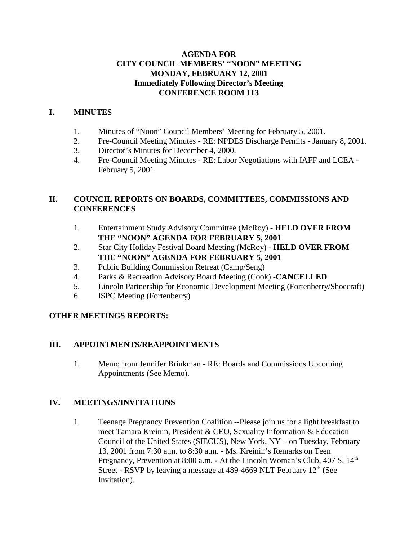#### **AGENDA FOR CITY COUNCIL MEMBERS' "NOON" MEETING MONDAY, FEBRUARY 12, 2001 Immediately Following Director's Meeting CONFERENCE ROOM 113**

### **I. MINUTES**

- 1. Minutes of "Noon" Council Members' Meeting for February 5, 2001.
- 2. Pre-Council Meeting Minutes RE: NPDES Discharge Permits January 8, 2001.
- 3. Director's Minutes for December 4, 2000.
- 4. Pre-Council Meeting Minutes RE: Labor Negotiations with IAFF and LCEA February 5, 2001.

### **II. COUNCIL REPORTS ON BOARDS, COMMITTEES, COMMISSIONS AND CONFERENCES**

- 1. Entertainment Study Advisory Committee (McRoy) **HELD OVER FROM THE "NOON" AGENDA FOR FEBRUARY 5, 2001**
- 2. Star City Holiday Festival Board Meeting (McRoy) **HELD OVER FROM THE "NOON" AGENDA FOR FEBRUARY 5, 2001**
- 3. Public Building Commission Retreat (Camp/Seng)
- 4. Parks & Recreation Advisory Board Meeting (Cook) -**CANCELLED**
- 5. Lincoln Partnership for Economic Development Meeting (Fortenberry/Shoecraft)
- 6. ISPC Meeting (Fortenberry)

### **OTHER MEETINGS REPORTS:**

### **III. APPOINTMENTS/REAPPOINTMENTS**

1. Memo from Jennifer Brinkman - RE: Boards and Commissions Upcoming Appointments (See Memo).

#### **IV. MEETINGS/INVITATIONS**

1. Teenage Pregnancy Prevention Coalition --Please join us for a light breakfast to meet Tamara Kreinin, President & CEO, Sexuality Information & Education Council of the United States (SIECUS), New York, NY – on Tuesday, February 13, 2001 from 7:30 a.m. to 8:30 a.m. - Ms. Kreinin's Remarks on Teen Pregnancy, Prevention at 8:00 a.m. - At the Lincoln Woman's Club, 407 S. 14<sup>th</sup> Street - RSVP by leaving a message at 489-4669 NLT February  $12<sup>th</sup>$  (See Invitation).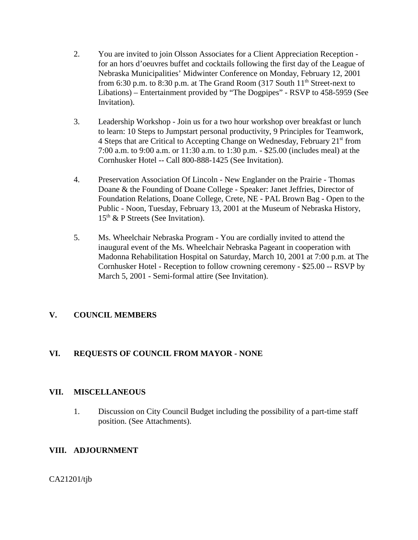- 2. You are invited to join Olsson Associates for a Client Appreciation Reception for an hors d'oeuvres buffet and cocktails following the first day of the League of Nebraska Municipalities' Midwinter Conference on Monday, February 12, 2001 from 6:30 p.m. to 8:30 p.m. at The Grand Room (317 South  $11<sup>th</sup>$  Street-next to Libations) – Entertainment provided by "The Dogpipes" - RSVP to 458-5959 (See Invitation).
- 3. Leadership Workshop Join us for a two hour workshop over breakfast or lunch to learn: 10 Steps to Jumpstart personal productivity, 9 Principles for Teamwork, 4 Steps that are Critical to Accepting Change on Wednesday, February 21<sup>st</sup> from 7:00 a.m. to 9:00 a.m. or 11:30 a.m. to 1:30 p.m. - \$25.00 (includes meal) at the Cornhusker Hotel -- Call 800-888-1425 (See Invitation).
- 4. Preservation Association Of Lincoln New Englander on the Prairie Thomas Doane & the Founding of Doane College - Speaker: Janet Jeffries, Director of Foundation Relations, Doane College, Crete, NE - PAL Brown Bag - Open to the Public - Noon, Tuesday, February 13, 2001 at the Museum of Nebraska History,  $15<sup>th</sup>$  & P Streets (See Invitation).
- 5. Ms. Wheelchair Nebraska Program You are cordially invited to attend the inaugural event of the Ms. Wheelchair Nebraska Pageant in cooperation with Madonna Rehabilitation Hospital on Saturday, March 10, 2001 at 7:00 p.m. at The Cornhusker Hotel - Reception to follow crowning ceremony - \$25.00 -- RSVP by March 5, 2001 - Semi-formal attire (See Invitation).

### **V. COUNCIL MEMBERS**

### **VI. REQUESTS OF COUNCIL FROM MAYOR - NONE**

#### **VII. MISCELLANEOUS**

1. Discussion on City Council Budget including the possibility of a part-time staff position. (See Attachments).

#### **VIII. ADJOURNMENT**

CA21201/tjb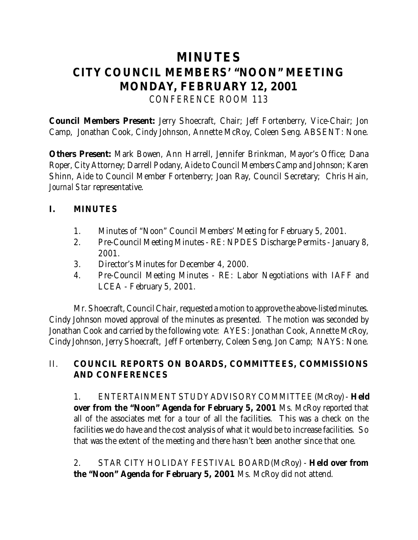# **MINUTES CITY COUNCIL MEMBERS' "NOON" MEETING MONDAY, FEBRUARY 12, 2001** *CONFERENCE ROOM 113*

**Council Members Present:** Jerry Shoecraft, Chair; Jeff Fortenberry, Vice-Chair; Jon Camp, Jonathan Cook, Cindy Johnson, Annette McRoy, Coleen Seng. ABSENT: None.

**Others Present:** Mark Bowen, Ann Harrell, Jennifer Brinkman, Mayor's Office; Dana Roper, City Attorney; Darrell Podany, Aide to Council Members Camp and Johnson; Karen Shinn, Aide to Council Member Fortenberry; Joan Ray, Council Secretary; Chris Hain, *Journal Star* representative.

# **I. MINUTES**

- 1. Minutes of "Noon" Council Members' Meeting for February 5, 2001.
- 2. Pre-Council Meeting Minutes RE: NPDES Discharge Permits January 8, 2001.
- 3. Director's Minutes for December 4, 2000.
- 4. Pre-Council Meeting Minutes RE: Labor Negotiations with IAFF and LCEA - February 5, 2001.

Mr. Shoecraft, Council Chair, requested a motion to approve the above-listed minutes. Cindy Johnson moved approval of the minutes as presented. The motion was seconded by Jonathan Cook and carried by the following vote: AYES: Jonathan Cook, Annette McRoy, Cindy Johnson, Jerry Shoecraft, Jeff Fortenberry, Coleen Seng, Jon Camp; NAYS: None.

# II. **COUNCIL REPORTS ON BOARDS, COMMITTEES, COMMISSIONS AND CONFERENCES**

1. ENTERTAINMENT STUDY ADVISORY COMMITTEE (McRoy) - **Held over from the "Noon" Agenda for February 5, 2001** Ms. McRoy reported that all of the associates met for a tour of all the facilities. This was a check on the facilities we do have and the cost analysis of what it would be to increase facilities. So that was the extent of the meeting and there hasn't been another since that one.

2. STAR CITY HOLIDAY FESTIVAL BOARD(McRoy) - **Held over from the "Noon" Agenda for February 5, 2001** Ms. McRoy did not attend.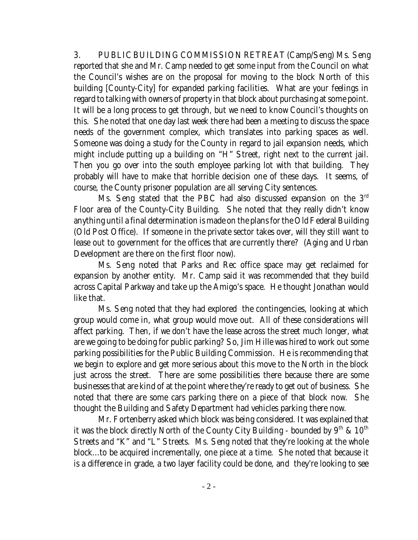3. PUBLIC BUILDING COMMISSION RETREAT (Camp/Seng) Ms. Seng reported that she and Mr. Camp needed to get some input from the Council on what the Council's wishes are on the proposal for moving to the block North of this building [County-City] for expanded parking facilities. What are your feelings in regard to talking with owners of property in that block about purchasing at some point. It will be a long process to get through, but we need to know Council's thoughts on this. She noted that one day last week there had been a meeting to discuss the space needs of the government complex, which translates into parking spaces as well. Someone was doing a study for the County in regard to jail expansion needs, which might include putting up a building on "H" Street, right next to the current jail. Then you go over into the south employee parking lot with that building. They probably will have to make that horrible decision one of these days. It seems, of course, the County prisoner population are all serving City sentences.

Ms. Seng stated that the PBC had also discussed expansion on the  $3<sup>rd</sup>$ Floor area of the County-City Building. She noted that they really didn't know anything until a final determination is made on the plans for the Old Federal Building (Old Post Office). If someone in the private sector takes over, will they still want to lease out to government for the offices that are currently there? (Aging and Urban Development are there on the first floor now).

Ms. Seng noted that Parks and Rec office space may get reclaimed for expansion by another entity. Mr. Camp said it was recommended that they build across Capital Parkway and take up the Amigo's space. He thought Jonathan would like that.

Ms. Seng noted that they had explored the contingencies, looking at which group would come in, what group would move out. All of these considerations will affect parking. Then, if we don't have the lease across the street much longer, what are we going to be doing for public parking? So, Jim Hille was hired to work out some parking possibilities for the Public Building Commission. He is recommending that we begin to explore and get more serious about this move to the North in the block just across the street. There are some possibilities there because there are some businesses that are kind of at the point where they're ready to get out of business. She noted that there are some cars parking there on a piece of that block now. She thought the Building and Safety Department had vehicles parking there now.

Mr. Fortenberry asked which block was being considered. It was explained that it was the block directly North of the County City Building - bounded by  $9^{th}$  &  $10^{th}$ Streets and "K" and "L" Streets. Ms. Seng noted that they're looking at the whole block...to be acquired incrementally, one piece at a time. She noted that because it is a difference in grade, a two layer facility could be done, and they're looking to see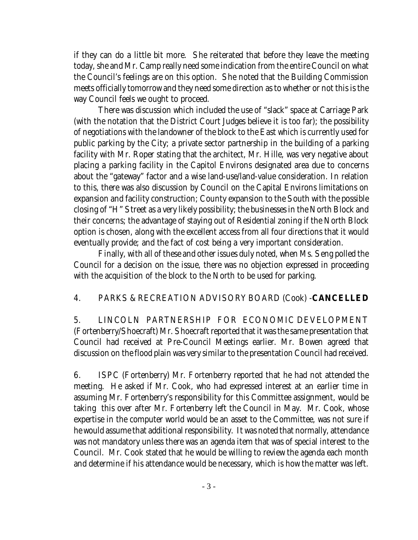if they can do a little bit more. She reiterated that before they leave the meeting today, she and Mr. Camp really need some indication from the entire Council on what the Council's feelings are on this option. She noted that the Building Commission meets officially tomorrow and they need some direction as to whether or not this is the way Council feels we ought to proceed.

There was discussion which included the use of "slack" space at Carriage Park (with the notation that the District Court Judges believe it is too far); the possibility of negotiations with the landowner of the block to the East which is currently used for public parking by the City; a private sector partnership in the building of a parking facility with Mr. Roper stating that the architect, Mr. Hille, was very negative about placing a parking facility in the Capitol Environs designated area due to concerns about the "gateway" factor and a wise land-use/land-value consideration. In relation to this, there was also discussion by Council on the Capital Environs limitations on expansion and facility construction; County expansion to the South with the possible closing of "H" Street as a very likely possibility; the businesses in the North Block and their concerns; the advantage of staying out of Residential zoning if the North Block option is chosen, along with the excellent access from all four directions that it would eventually provide; and the fact of cost being a very important consideration.

Finally, with all of these and other issues duly noted, when Ms. Seng polled the Council for a decision on the issue, there was no objection expressed in proceeding with the acquisition of the block to the North to be used for parking.

# 4. PARKS & RECREATION ADVISORY BOARD (Cook) -**CANCELLED**

5. LINCOLN PARTNERSHIP FOR ECONOMIC DEVELOPMENT (Fortenberry/Shoecraft) Mr. Shoecraft reported that it was the same presentation that Council had received at Pre-Council Meetings earlier. Mr. Bowen agreed that discussion on the flood plain was very similar to the presentation Council had received.

6. ISPC (Fortenberry) Mr. Fortenberry reported that he had not attended the meeting. He asked if Mr. Cook, who had expressed interest at an earlier time in assuming Mr. Fortenberry's responsibility for this Committee assignment, would be taking this over after Mr. Fortenberry left the Council in May. Mr. Cook, whose expertise in the computer world would be an asset to the Committee, was not sure if he would assume that additional responsibility. It was noted that normally, attendance was not mandatory unless there was an agenda item that was of special interest to the Council. Mr. Cook stated that he would be willing to review the agenda each month and determine if his attendance would be necessary, which is how the matter was left.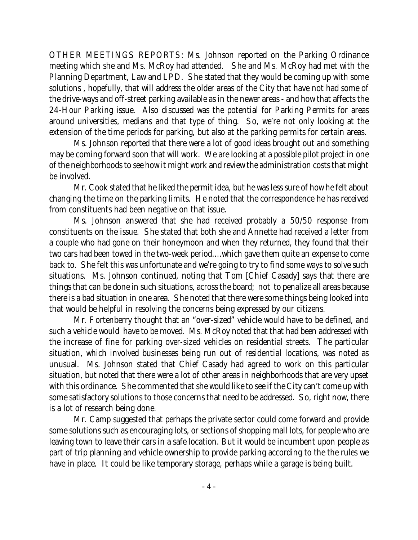OTHER MEETINGS REPORTS: Ms. Johnson reported on the Parking Ordinance meeting which she and Ms. McRoy had attended. She and Ms. McRoy had met with the Planning Department, Law and LPD. She stated that they would be coming up with some solutions , hopefully, that will address the older areas of the City that have not had some of the drive-ways and off-street parking available as in the newer areas - and how that affects the 24-Hour Parking issue. Also discussed was the potential for Parking Permits for areas around universities, medians and that type of thing. So, we're not only looking at the extension of the time periods for parking, but also at the parking permits for certain areas.

Ms. Johnson reported that there were a lot of good ideas brought out and something may be coming forward soon that will work. We are looking at a possible pilot project in one of the neighborhoods to see how it might work and review the administration costs that might be involved.

Mr. Cook stated that he liked the permit idea, but he was less sure of how he felt about changing the time on the parking limits. He noted that the correspondence he has received from constituents had been negative on that issue.

Ms. Johnson answered that she had received probably a 50/50 response from constituents on the issue. She stated that both she and Annette had received a letter from a couple who had gone on their honeymoon and when they returned, they found that their two cars had been towed in the two-week period....which gave them quite an expense to come back to. She felt this was unfortunate and we're going to try to find some ways to solve such situations. Ms. Johnson continued, noting that Tom [Chief Casady] says that there are things that can be done in such situations, across the board; not to penalize all areas because there is a bad situation in one area. She noted that there were some things being looked into that would be helpful in resolving the concerns being expressed by our citizens.

Mr. Fortenberry thought that an "over-sized" vehicle would have to be defined, and such a vehicle would have to be moved. Ms. McRoy noted that that had been addressed with the increase of fine for parking over-sized vehicles on residential streets. The particular situation, which involved businesses being run out of residential locations, was noted as unusual. Ms. Johnson stated that Chief Casady had agreed to work on this particular situation, but noted that there were a lot of other areas in neighborhoods that are very upset with this ordinance. She commented that she would like to see if the City can't come up with some satisfactory solutions to those concerns that need to be addressed. So, right now, there is a lot of research being done.

Mr. Camp suggested that perhaps the private sector could come forward and provide some solutions such as encouraging lots, or sections of shopping mall lots, for people who are leaving town to leave their cars in a safe location. But it would be incumbent upon people as part of trip planning and vehicle ownership to provide parking according to the the rules we have in place. It could be like temporary storage, perhaps while a garage is being built.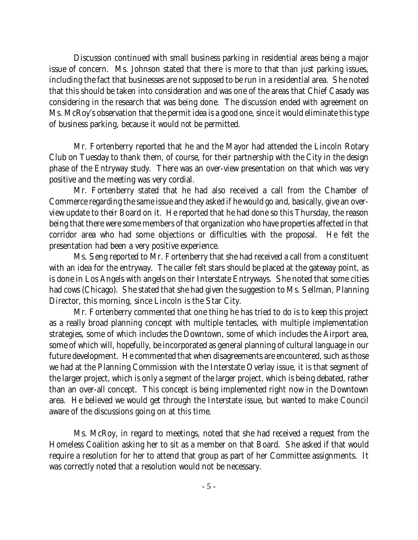Discussion continued with small business parking in residential areas being a major issue of concern. Ms. Johnson stated that there is more to that than just parking issues, including the fact that businesses are not supposed to be run in a residential area. She noted that this should be taken into consideration and was one of the areas that Chief Casady was considering in the research that was being done. The discussion ended with agreement on Ms. McRoy's observation that the permit idea is a good one, since it would eliminate this type of business parking, because it would *not* be permitted.

Mr. Fortenberry reported that he and the Mayor had attended the Lincoln Rotary Club on Tuesday to thank them, of course, for their partnership with the City in the design phase of the Entryway study. There was an over-view presentation on that which was very positive and the meeting was very cordial.

Mr. Fortenberry stated that he had also received a call from the Chamber of Commerce regarding the same issue and they asked if he would go and, basically, give an overview update to their Board on it. He reported that he had done so this Thursday, the reason being that there were some members of that organization who have properties affected in that corridor area who had some objections or difficulties with the proposal. He felt the presentation had been a very positive experience.

Ms. Seng reported to Mr. Fortenberry that she had received a call from a constituent with an idea for the entryway. The caller felt stars should be placed at the gateway point, as is done in Los Angels with angels on their Interstate Entryways. She noted that some cities had cows (Chicago). She stated that she had given the suggestion to Ms. Sellman, Planning Director, this morning, since Lincoln is the Star City.

Mr. Fortenberry commented that one thing he has tried to do is to keep this project as a really broad planning concept with multiple tentacles, with multiple implementation strategies, some of which includes the Downtown, some of which includes the Airport area, some of which will, hopefully, be incorporated as general planning of cultural language in our future development. He commented that when disagreements are encountered, such as those we had at the Planning Commission with the Interstate Overlay issue, it is that segment of the larger project, which is only a *segment* of the larger project, which is being debated, rather than an over-all concept. This concept is being implemented right now in the Downtown area. He believed we would get through the Interstate issue, but wanted to make Council aware of the discussions going on at this time.

Ms. McRoy, in regard to meetings, noted that she had received a request from the Homeless Coalition asking her to sit as a member on that Board. She asked if that would require a resolution for her to attend that group as part of her Committee assignments. It was correctly noted that a resolution would not be necessary.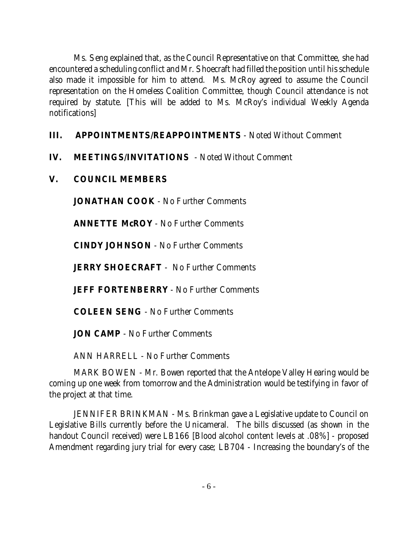Ms. Seng explained that, as the Council Representative on that Committee, she had encountered a scheduling conflict and Mr. Shoecraft had filled the position until his schedule also made it impossible for him to attend. Ms. McRoy agreed to assume the Council representation on the Homeless Coalition Committee, though Council attendance is not required by statute. [This will be added to Ms. McRoy's individual Weekly Agenda notifications]

# **III. APPOINTMENTS/REAPPOINTMENTS** - Noted Without Comment

- **IV. MEETINGS/INVITATIONS**  Noted Without Comment
- **V. COUNCIL MEMBERS**

**JONATHAN COOK** - No Further Comments

**ANNETTE McROY** - No Further Comments

**CINDY JOHNSON** - No Further Comments

**JERRY SHOECRAFT** - No Further Comments

**JEFF FORTENBERRY** - No Further Comments

**COLEEN SENG** - No Further Comments

**JON CAMP** - No Further Comments

ANN HARRELL - No Further Comments

MARK BOWEN - Mr. Bowen reported that the Antelope Valley Hearing would be coming up one week from tomorrow and the Administration would be testifying in favor of the project at that time.

JENNIFER BRINKMAN - Ms. Brinkman gave a Legislative update to Council on Legislative Bills currently before the Unicameral. The bills discussed (as shown in the handout Council received) were LB166 [Blood alcohol content levels at .08%] - proposed Amendment regarding jury trial for every case; LB704 - Increasing the boundary's of the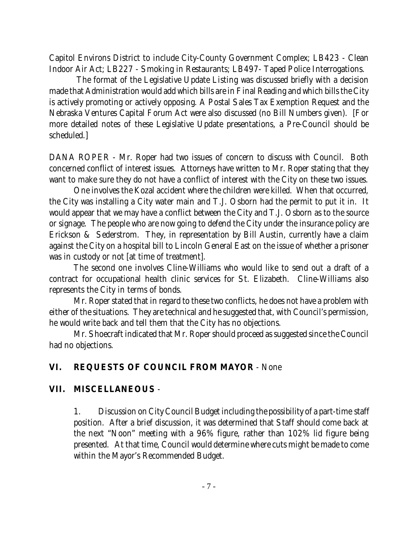Capitol Environs District to include City-County Government Complex; LB423 - Clean Indoor Air Act; LB227 - Smoking in Restaurants; LB497- Taped Police Interrogations.

 The format of the Legislative Update Listing was discussed briefly with a decision made that Administration would add which bills are in Final Reading and which bills the City is actively promoting or actively opposing. A Postal Sales Tax Exemption Request and the Nebraska Ventures Capital Forum Act were also discussed (no Bill Numbers given). [For more detailed notes of these Legislative Update presentations, a Pre-Council should be scheduled.]

DANA ROPER - Mr. Roper had two issues of concern to discuss with Council. Both concerned conflict of interest issues. Attorneys have written to Mr. Roper stating that they want to make sure they do not have a conflict of interest with the City on these two issues.

One involves the Kozal accident where the children were killed. When that occurred, the City was installing a City water main and T.J. Osborn had the permit to put it in. It would appear that we may have a conflict between the City and T.J. Osborn as to the source or signage. The people who are now going to defend the City under the insurance policy are Erickson & Sederstrom. They, in representation by Bill Austin, currently have a claim against the City on a hospital bill to Lincoln General East on the issue of whether a prisoner was in custody or not [at time of treatment].

The second one involves Cline-Williams who would like to send out a draft of a contract for occupational health clinic services for St. Elizabeth. Cline-Williams also represents the City in terms of bonds.

Mr. Roper stated that in regard to these two conflicts, he does not have a problem with either of the situations. They are technical and he suggested that, with Council's permission, he would write back and tell them that the City has no objections.

Mr. Shoecraft indicated that Mr. Roper should proceed as suggested since the Council had no objections.

# **VI. REQUESTS OF COUNCIL FROM MAYOR** - None

# **VII. MISCELLANEOUS** -

1. Discussion on City Council Budget including the possibility of a part-time staff position. After a brief discussion, it was determined that Staff should come back at the next "Noon" meeting with a 96% figure, rather than 102% lid figure being presented. At that time, Council would determine where cuts might be made to come within the Mayor's Recommended Budget.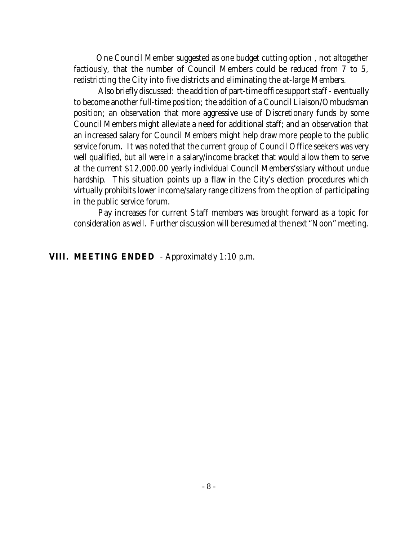One Council Member suggested as one budget cutting option , not altogether factiously, that the number of Council Members could be reduced from 7 to 5, redistricting the City into five districts and eliminating the at-large Members.

Also briefly discussed: the addition of part-time office support staff - eventually to become another full-time position; the addition of a Council Liaison/Ombudsman position; an observation that more aggressive use of Discretionary funds by some Council Members might alleviate a need for additional staff; and an observation that an increased salary for Council Members might help draw more people to the public service forum. It was noted that the current group of Council Office seekers was very well qualified, but all were in a salary/income bracket that would allow them to serve at the current \$12,000.00 yearly individual Council Members'sslary without undue hardship. This situation points up a flaw in the City's election procedures which virtually prohibits lower income/salary range citizens from the option of participating in the public service forum.

Pay increases for current Staff members was brought forward as a topic for consideration as well. Further discussion will be resumed at the next "Noon" meeting.

#### **VIII. MEETING ENDED** - Approximately 1:10 p.m.